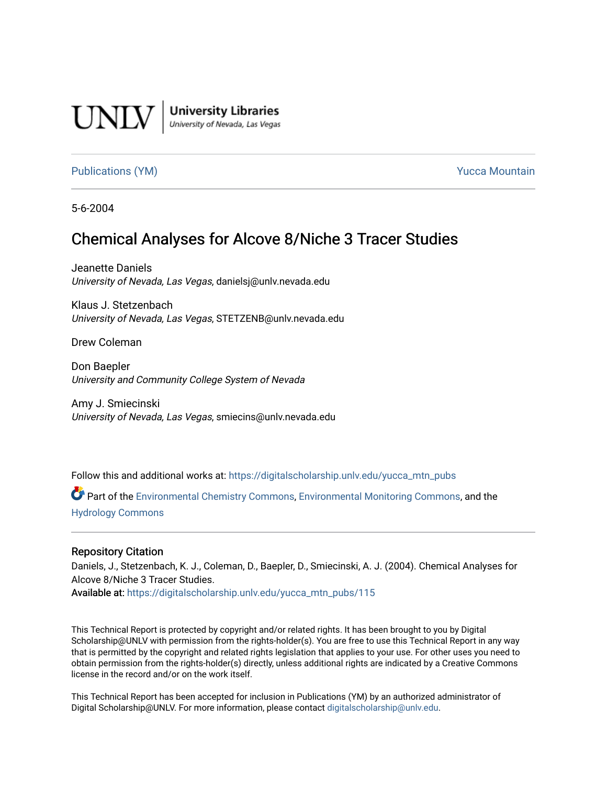

**University Libraries**<br>University of Nevada, Las Vegas

## [Publications \(YM\)](https://digitalscholarship.unlv.edu/yucca_mtn_pubs) **Publications (YM) Publications (YM) Publications** (*YM*)

5-6-2004

# Chemical Analyses for Alcove 8/Niche 3 Tracer Studies

Jeanette Daniels University of Nevada, Las Vegas, danielsj@unlv.nevada.edu

Klaus J. Stetzenbach University of Nevada, Las Vegas, STETZENB@unlv.nevada.edu

Drew Coleman

Don Baepler University and Community College System of Nevada

Amy J. Smiecinski University of Nevada, Las Vegas, smiecins@unlv.nevada.edu

Follow this and additional works at: [https://digitalscholarship.unlv.edu/yucca\\_mtn\\_pubs](https://digitalscholarship.unlv.edu/yucca_mtn_pubs?utm_source=digitalscholarship.unlv.edu%2Fyucca_mtn_pubs%2F115&utm_medium=PDF&utm_campaign=PDFCoverPages)

Part of the [Environmental Chemistry Commons](http://network.bepress.com/hgg/discipline/134?utm_source=digitalscholarship.unlv.edu%2Fyucca_mtn_pubs%2F115&utm_medium=PDF&utm_campaign=PDFCoverPages), [Environmental Monitoring Commons,](http://network.bepress.com/hgg/discipline/931?utm_source=digitalscholarship.unlv.edu%2Fyucca_mtn_pubs%2F115&utm_medium=PDF&utm_campaign=PDFCoverPages) and the [Hydrology Commons](http://network.bepress.com/hgg/discipline/1054?utm_source=digitalscholarship.unlv.edu%2Fyucca_mtn_pubs%2F115&utm_medium=PDF&utm_campaign=PDFCoverPages)

#### Repository Citation

Daniels, J., Stetzenbach, K. J., Coleman, D., Baepler, D., Smiecinski, A. J. (2004). Chemical Analyses for Alcove 8/Niche 3 Tracer Studies.

Available at: [https://digitalscholarship.unlv.edu/yucca\\_mtn\\_pubs/115](https://digitalscholarship.unlv.edu/yucca_mtn_pubs/115) 

This Technical Report is protected by copyright and/or related rights. It has been brought to you by Digital Scholarship@UNLV with permission from the rights-holder(s). You are free to use this Technical Report in any way that is permitted by the copyright and related rights legislation that applies to your use. For other uses you need to obtain permission from the rights-holder(s) directly, unless additional rights are indicated by a Creative Commons license in the record and/or on the work itself.

This Technical Report has been accepted for inclusion in Publications (YM) by an authorized administrator of Digital Scholarship@UNLV. For more information, please contact [digitalscholarship@unlv.edu](mailto:digitalscholarship@unlv.edu).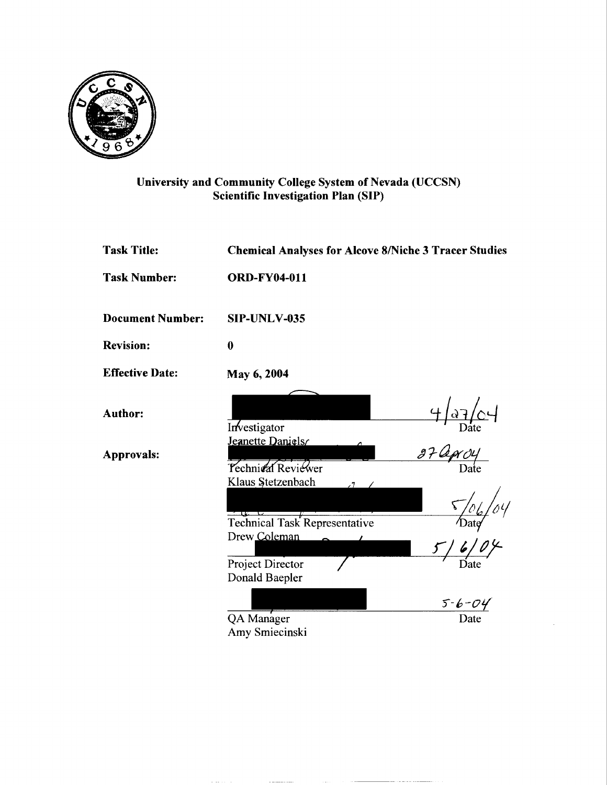

## University and Community College System of Nevada (UCCSN) Scientific Investigation Plan (SIP)

| <b>Task Number:</b><br><b>ORD-FY04-011</b>                                       |              |  |  |
|----------------------------------------------------------------------------------|--------------|--|--|
| <b>Document Number:</b><br>SIP-UNLV-035                                          |              |  |  |
| <b>Revision:</b><br>$\boldsymbol{0}$                                             |              |  |  |
| <b>Effective Date:</b><br>May 6, 2004                                            |              |  |  |
| <b>Author:</b><br>Investigator                                                   |              |  |  |
| Jeanette Daniels<br><b>Approvals:</b><br>Technical Reviewer<br>Klaus Stetzenbach |              |  |  |
| $\sim$ $\mu$ $\sim$ $\sim$<br><b>Technical Task Representative</b>               |              |  |  |
| Drew Coleman                                                                     |              |  |  |
| Project Director<br>Donald Baepler                                               |              |  |  |
|                                                                                  | $5 - 6 - 04$ |  |  |
| QA Manager<br>Amy Smiecinski                                                     | Date         |  |  |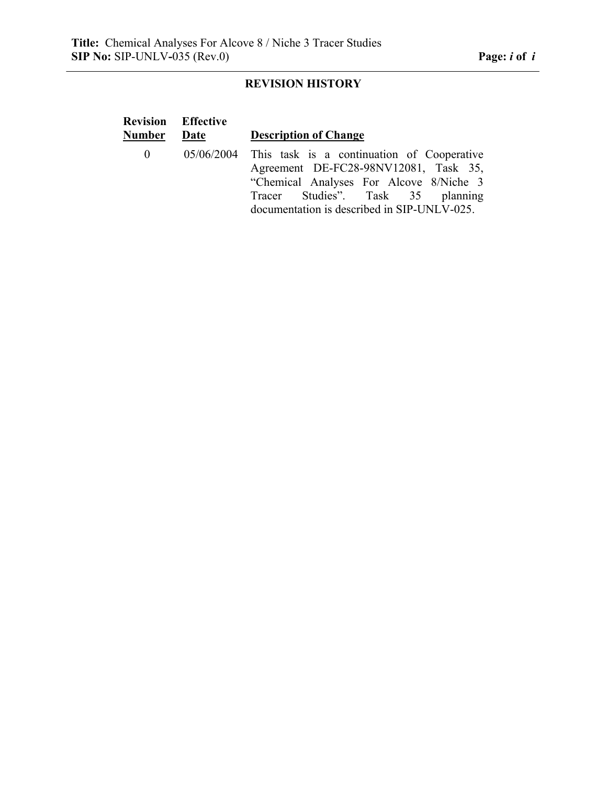# **REVISION HISTORY**

|              | <b>Revision Effective</b> |                                                                                                                                                                                                                                 |
|--------------|---------------------------|---------------------------------------------------------------------------------------------------------------------------------------------------------------------------------------------------------------------------------|
| Number       | Date                      | <b>Description of Change</b>                                                                                                                                                                                                    |
| $\mathbf{0}$ |                           | $05/06/2004$ This task is a continuation of Cooperative<br>Agreement DE-FC28-98NV12081, Task 35,<br>"Chemical Analyses For Alcove 8/Niche 3<br>Tracer Studies". Task 35 planning<br>documentation is described in SIP-UNLV-025. |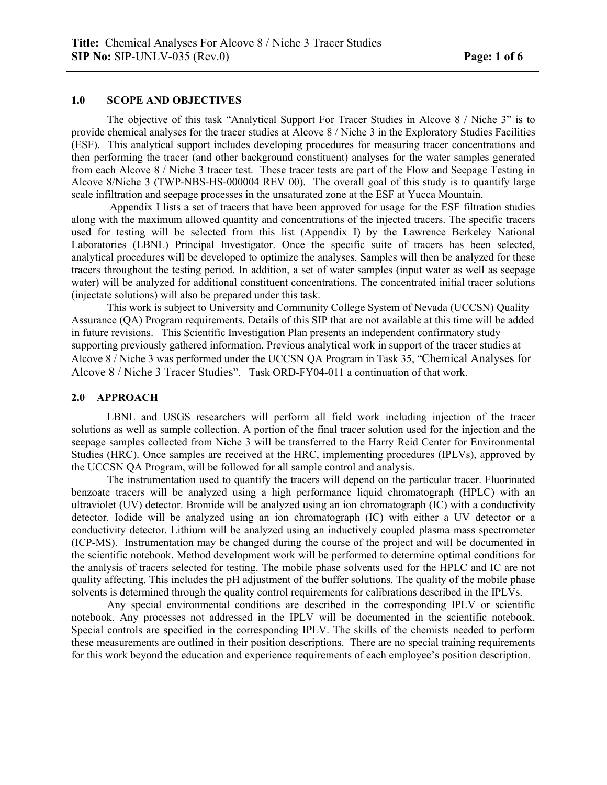### **1.0 SCOPE AND OBJECTIVES**

 The objective of this task "Analytical Support For Tracer Studies in Alcove 8 / Niche 3" is to provide chemical analyses for the tracer studies at Alcove 8 / Niche 3 in the Exploratory Studies Facilities (ESF). This analytical support includes developing procedures for measuring tracer concentrations and then performing the tracer (and other background constituent) analyses for the water samples generated from each Alcove 8 / Niche 3 tracer test. These tracer tests are part of the Flow and Seepage Testing in Alcove 8/Niche 3 (TWP-NBS-HS-000004 REV 00). The overall goal of this study is to quantify large scale infiltration and seepage processes in the unsaturated zone at the ESF at Yucca Mountain.

 Appendix I lists a set of tracers that have been approved for usage for the ESF filtration studies along with the maximum allowed quantity and concentrations of the injected tracers. The specific tracers used for testing will be selected from this list (Appendix I) by the Lawrence Berkeley National Laboratories (LBNL) Principal Investigator. Once the specific suite of tracers has been selected, analytical procedures will be developed to optimize the analyses. Samples will then be analyzed for these tracers throughout the testing period. In addition, a set of water samples (input water as well as seepage water) will be analyzed for additional constituent concentrations. The concentrated initial tracer solutions (injectate solutions) will also be prepared under this task.

This work is subject to University and Community College System of Nevada (UCCSN) Quality Assurance (QA) Program requirements. Details of this SIP that are not available at this time will be added in future revisions. This Scientific Investigation Plan presents an independent confirmatory study supporting previously gathered information. Previous analytical work in support of the tracer studies at Alcove 8 / Niche 3 was performed under the UCCSN QA Program in Task 35, "Chemical Analyses for Alcove 8 / Niche 3 Tracer Studies". Task ORD-FY04-011 a continuation of that work.

#### **2.0 APPROACH**

 LBNL and USGS researchers will perform all field work including injection of the tracer solutions as well as sample collection. A portion of the final tracer solution used for the injection and the seepage samples collected from Niche 3 will be transferred to the Harry Reid Center for Environmental Studies (HRC). Once samples are received at the HRC, implementing procedures (IPLVs), approved by the UCCSN QA Program, will be followed for all sample control and analysis.

The instrumentation used to quantify the tracers will depend on the particular tracer. Fluorinated benzoate tracers will be analyzed using a high performance liquid chromatograph (HPLC) with an ultraviolet (UV) detector. Bromide will be analyzed using an ion chromatograph (IC) with a conductivity detector. Iodide will be analyzed using an ion chromatograph (IC) with either a UV detector or a conductivity detector. Lithium will be analyzed using an inductively coupled plasma mass spectrometer (ICP-MS). Instrumentation may be changed during the course of the project and will be documented in the scientific notebook. Method development work will be performed to determine optimal conditions for the analysis of tracers selected for testing. The mobile phase solvents used for the HPLC and IC are not quality affecting. This includes the pH adjustment of the buffer solutions. The quality of the mobile phase solvents is determined through the quality control requirements for calibrations described in the IPLVs.

 Any special environmental conditions are described in the corresponding IPLV or scientific notebook. Any processes not addressed in the IPLV will be documented in the scientific notebook. Special controls are specified in the corresponding IPLV. The skills of the chemists needed to perform these measurements are outlined in their position descriptions. There are no special training requirements for this work beyond the education and experience requirements of each employee's position description.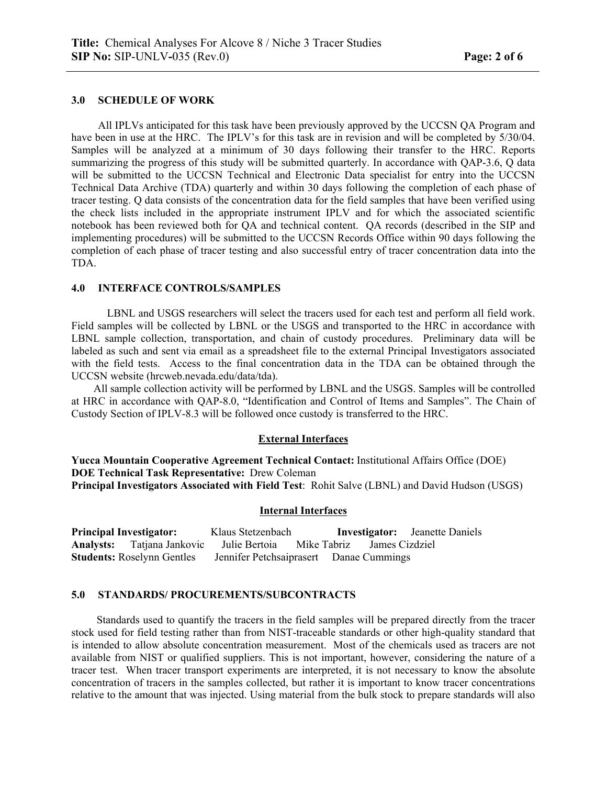#### **3.0 SCHEDULE OF WORK**

All IPLVs anticipated for this task have been previously approved by the UCCSN QA Program and have been in use at the HRC. The IPLV's for this task are in revision and will be completed by  $5/30/04$ . Samples will be analyzed at a minimum of 30 days following their transfer to the HRC. Reports summarizing the progress of this study will be submitted quarterly. In accordance with QAP-3.6, Q data will be submitted to the UCCSN Technical and Electronic Data specialist for entry into the UCCSN Technical Data Archive (TDA) quarterly and within 30 days following the completion of each phase of tracer testing. Q data consists of the concentration data for the field samples that have been verified using the check lists included in the appropriate instrument IPLV and for which the associated scientific notebook has been reviewed both for QA and technical content. QA records (described in the SIP and implementing procedures) will be submitted to the UCCSN Records Office within 90 days following the completion of each phase of tracer testing and also successful entry of tracer concentration data into the TDA.

#### **4.0 INTERFACE CONTROLS/SAMPLES**

LBNL and USGS researchers will select the tracers used for each test and perform all field work. Field samples will be collected by LBNL or the USGS and transported to the HRC in accordance with LBNL sample collection, transportation, and chain of custody procedures. Preliminary data will be labeled as such and sent via email as a spreadsheet file to the external Principal Investigators associated with the field tests. Access to the final concentration data in the TDA can be obtained through the UCCSN website (hrcweb.nevada.edu/data/tda).

All sample collection activity will be performed by LBNL and the USGS. Samples will be controlled at HRC in accordance with QAP-8.0, "Identification and Control of Items and Samples". The Chain of Custody Section of IPLV-8.3 will be followed once custody is transferred to the HRC.

#### **External Interfaces**

**Yucca Mountain Cooperative Agreement Technical Contact:** Institutional Affairs Office (DOE) **DOE Technical Task Representative:** Drew Coleman **Principal Investigators Associated with Field Test**: Rohit Salve (LBNL) and David Hudson (USGS)

#### **Internal Interfaces**

**Principal Investigator:** Klaus Stetzenbach **Investigator:** Jeanette Daniels **Analysts:** Tatjana Jankovic Julie Bertoia Mike Tabriz James Cizdziel **Jennifer Petchsaiprasert** Danae Cummings

#### **5.0 STANDARDS/ PROCUREMENTS/SUBCONTRACTS**

Standards used to quantify the tracers in the field samples will be prepared directly from the tracer stock used for field testing rather than from NIST-traceable standards or other high-quality standard that is intended to allow absolute concentration measurement. Most of the chemicals used as tracers are not available from NIST or qualified suppliers. This is not important, however, considering the nature of a tracer test. When tracer transport experiments are interpreted, it is not necessary to know the absolute concentration of tracers in the samples collected, but rather it is important to know tracer concentrations relative to the amount that was injected. Using material from the bulk stock to prepare standards will also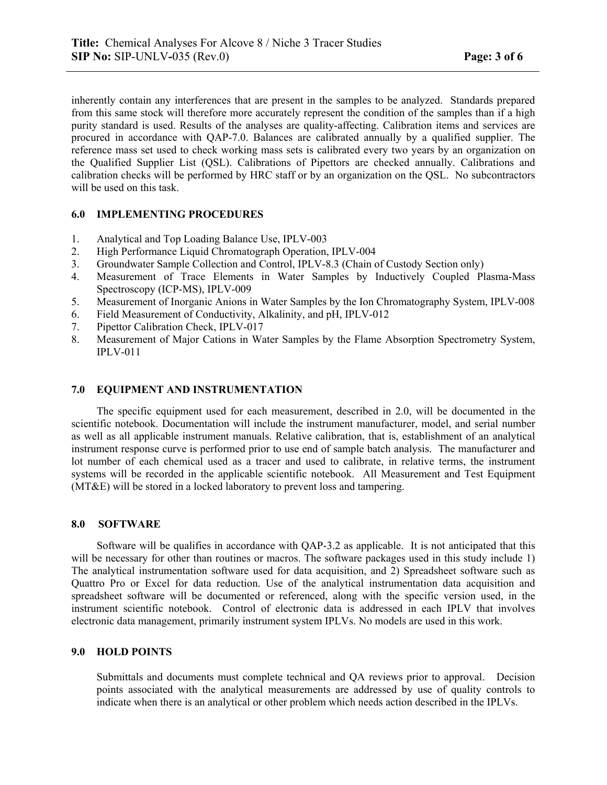inherently contain any interferences that are present in the samples to be analyzed. Standards prepared from this same stock will therefore more accurately represent the condition of the samples than if a high purity standard is used. Results of the analyses are quality-affecting. Calibration items and services are procured in accordance with QAP-7.0. Balances are calibrated annually by a qualified supplier. The reference mass set used to check working mass sets is calibrated every two years by an organization on the Qualified Supplier List (QSL). Calibrations of Pipettors are checked annually. Calibrations and calibration checks will be performed by HRC staff or by an organization on the QSL. No subcontractors will be used on this task.

#### **6.0 IMPLEMENTING PROCEDURES**

- 1. Analytical and Top Loading Balance Use, IPLV-003
- 2. High Performance Liquid Chromatograph Operation, IPLV-004
- 3. Groundwater Sample Collection and Control, IPLV-8.3 (Chain of Custody Section only)
- 4. Measurement of Trace Elements in Water Samples by Inductively Coupled Plasma-Mass Spectroscopy (ICP-MS), IPLV-009
- 5. Measurement of Inorganic Anions in Water Samples by the Ion Chromatography System, IPLV-008
- 6. Field Measurement of Conductivity, Alkalinity, and pH, IPLV-012
- 7. Pipettor Calibration Check, IPLV-017
- 8. Measurement of Major Cations in Water Samples by the Flame Absorption Spectrometry System, IPLV-011

#### **7.0 EQUIPMENT AND INSTRUMENTATION**

 The specific equipment used for each measurement, described in 2.0, will be documented in the scientific notebook. Documentation will include the instrument manufacturer, model, and serial number as well as all applicable instrument manuals. Relative calibration, that is, establishment of an analytical instrument response curve is performed prior to use end of sample batch analysis. The manufacturer and lot number of each chemical used as a tracer and used to calibrate, in relative terms, the instrument systems will be recorded in the applicable scientific notebook. All Measurement and Test Equipment (MT&E) will be stored in a locked laboratory to prevent loss and tampering.

#### **8.0 SOFTWARE**

 Software will be qualifies in accordance with QAP-3.2 as applicable. It is not anticipated that this will be necessary for other than routines or macros. The software packages used in this study include 1) The analytical instrumentation software used for data acquisition, and 2) Spreadsheet software such as Quattro Pro or Excel for data reduction. Use of the analytical instrumentation data acquisition and spreadsheet software will be documented or referenced, along with the specific version used, in the instrument scientific notebook. Control of electronic data is addressed in each IPLV that involves electronic data management, primarily instrument system IPLVs. No models are used in this work.

#### **9.0 HOLD POINTS**

Submittals and documents must complete technical and QA reviews prior to approval. Decision points associated with the analytical measurements are addressed by use of quality controls to indicate when there is an analytical or other problem which needs action described in the IPLVs.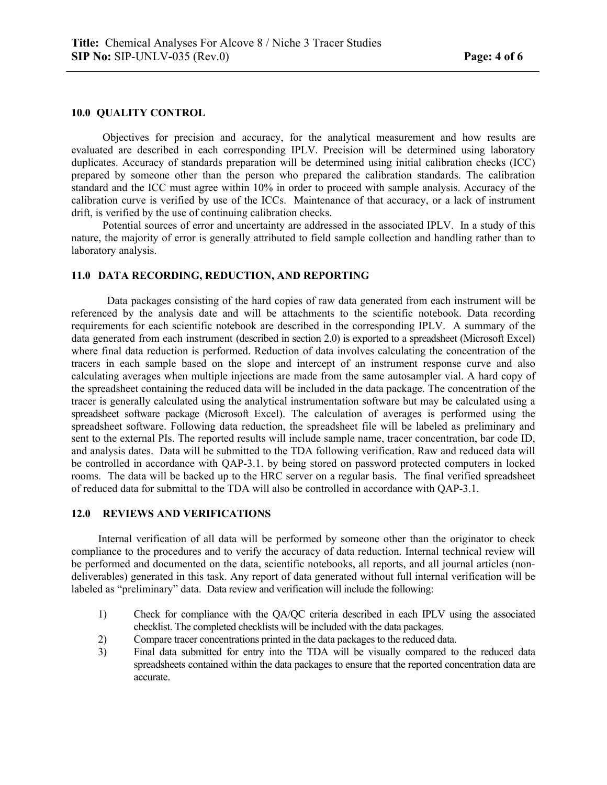#### **10.0 QUALITY CONTROL**

 Objectives for precision and accuracy, for the analytical measurement and how results are evaluated are described in each corresponding IPLV. Precision will be determined using laboratory duplicates. Accuracy of standards preparation will be determined using initial calibration checks (ICC) prepared by someone other than the person who prepared the calibration standards. The calibration standard and the ICC must agree within 10% in order to proceed with sample analysis. Accuracy of the calibration curve is verified by use of the ICCs. Maintenance of that accuracy, or a lack of instrument drift, is verified by the use of continuing calibration checks.

Potential sources of error and uncertainty are addressed in the associated IPLV. In a study of this nature, the majority of error is generally attributed to field sample collection and handling rather than to laboratory analysis.

### **11.0 DATA RECORDING, REDUCTION, AND REPORTING**

Data packages consisting of the hard copies of raw data generated from each instrument will be referenced by the analysis date and will be attachments to the scientific notebook. Data recording requirements for each scientific notebook are described in the corresponding IPLV. A summary of the data generated from each instrument (described in section 2.0) is exported to a spreadsheet (Microsoft Excel) where final data reduction is performed. Reduction of data involves calculating the concentration of the tracers in each sample based on the slope and intercept of an instrument response curve and also calculating averages when multiple injections are made from the same autosampler vial. A hard copy of the spreadsheet containing the reduced data will be included in the data package. The concentration of the tracer is generally calculated using the analytical instrumentation software but may be calculated using a spreadsheet software package (Microsoft Excel). The calculation of averages is performed using the spreadsheet software. Following data reduction, the spreadsheet file will be labeled as preliminary and sent to the external PIs. The reported results will include sample name, tracer concentration, bar code ID, and analysis dates. Data will be submitted to the TDA following verification. Raw and reduced data will be controlled in accordance with QAP-3.1. by being stored on password protected computers in locked rooms. The data will be backed up to the HRC server on a regular basis. The final verified spreadsheet of reduced data for submittal to the TDA will also be controlled in accordance with QAP-3.1.

### **12.0 REVIEWS AND VERIFICATIONS**

 Internal verification of all data will be performed by someone other than the originator to check compliance to the procedures and to verify the accuracy of data reduction. Internal technical review will be performed and documented on the data, scientific notebooks, all reports, and all journal articles (nondeliverables) generated in this task. Any report of data generated without full internal verification will be labeled as "preliminary" data. Data review and verification will include the following:

- 1) Check for compliance with the QA/QC criteria described in each IPLV using the associated checklist. The completed checklists will be included with the data packages.
- 2) Compare tracer concentrations printed in the data packages to the reduced data.
- 3) Final data submitted for entry into the TDA will be visually compared to the reduced data spreadsheets contained within the data packages to ensure that the reported concentration data are accurate.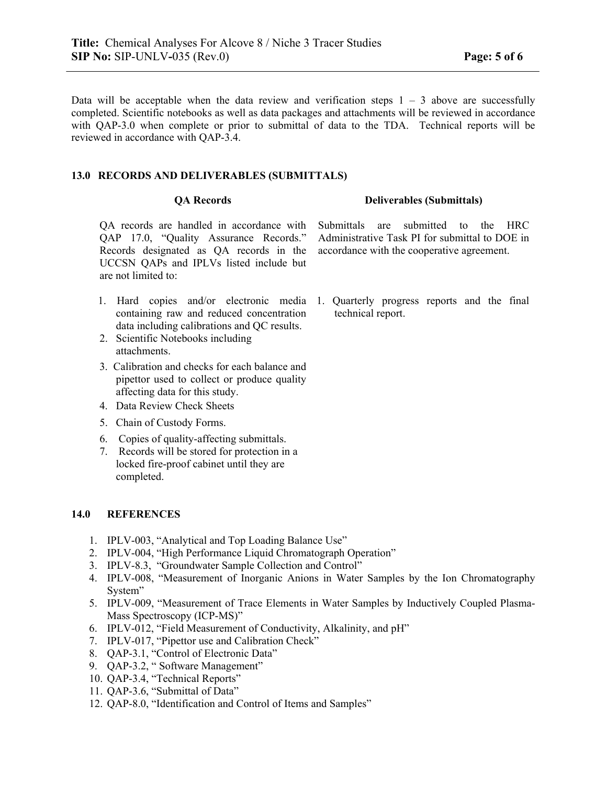Data will be acceptable when the data review and verification steps  $1 - 3$  above are successfully completed. Scientific notebooks as well as data packages and attachments will be reviewed in accordance with OAP-3.0 when complete or prior to submittal of data to the TDA. Technical reports will be reviewed in accordance with QAP-3.4.

### **13.0 RECORDS AND DELIVERABLES (SUBMITTALS)**

QA records are handled in accordance with QAP 17.0, "Quality Assurance Records." Records designated as QA records in the UCCSN QAPs and IPLVs listed include but are not limited to:

- 1. Hard copies and/or electronic media containing raw and reduced concentration data including calibrations and QC results.
- 2. Scientific Notebooks including attachments.
- 3. Calibration and checks for each balance and pipettor used to collect or produce quality affecting data for this study.
- 4. Data Review Check Sheets
- 5. Chain of Custody Forms.
- 6. Copies of quality-affecting submittals.
- 7. Records will be stored for protection in a locked fire-proof cabinet until they are completed.

#### **14.0 REFERENCES**

- 1. IPLV-003, "Analytical and Top Loading Balance Use"
- 2. IPLV-004, "High Performance Liquid Chromatograph Operation"
- 3. IPLV-8.3, "Groundwater Sample Collection and Control"
- 4. IPLV-008, "Measurement of Inorganic Anions in Water Samples by the Ion Chromatography System"
- 5. IPLV-009, "Measurement of Trace Elements in Water Samples by Inductively Coupled Plasma-Mass Spectroscopy (ICP-MS)"
- 6. IPLV-012, "Field Measurement of Conductivity, Alkalinity, and pH"
- 7. IPLV-017, "Pipettor use and Calibration Check"
- 8. QAP-3.1, "Control of Electronic Data"
- 9. QAP-3.2, " Software Management"
- 10. QAP-3.4, "Technical Reports"
- 11. QAP-3.6, "Submittal of Data"
- 12. QAP-8.0, "Identification and Control of Items and Samples"

#### **QA Records Deliverables (Submittals)**

Submittals are submitted to the HRC Administrative Task PI for submittal to DOE in accordance with the cooperative agreement.

1. Quarterly progress reports and the final technical report.